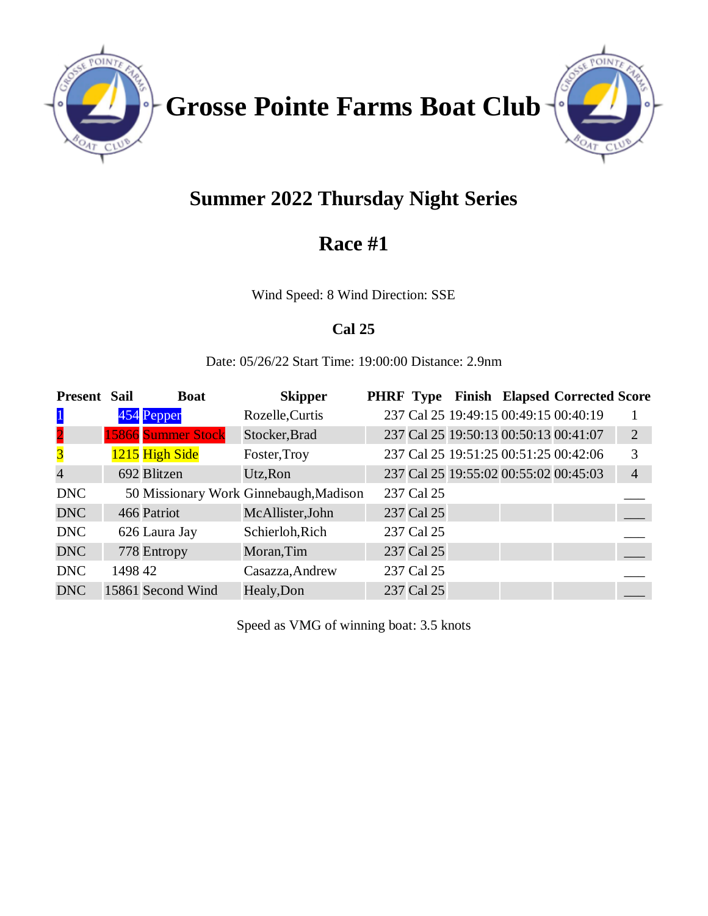

**Grosse Pointe Farms Boat Club**



# **Summer 2022 Thursday Night Series**

## **Race #1**

Wind Speed: 8 Wind Direction: SSE

### **Cal 25**

Date: 05/26/22 Start Time: 19:00:00 Distance: 2.9nm

| <b>Present Sail</b>     |         | <b>Boat</b>               | <b>Skipper</b>                         |            |  | <b>PHRF Type Finish Elapsed Corrected Score</b> |                |
|-------------------------|---------|---------------------------|----------------------------------------|------------|--|-------------------------------------------------|----------------|
| $\mathbf{1}$            |         | 454 Pepper                | Rozelle, Curtis                        |            |  | 237 Cal 25 19:49:15 00:49:15 00:40:19           |                |
| $\overline{\mathbf{2}}$ |         | <b>15866</b> Summer Stock | Stocker, Brad                          |            |  | 237 Cal 25 19:50:13 00:50:13 00:41:07           | $\overline{2}$ |
| $\overline{\mathbf{3}}$ |         | 1215 High Side            | Foster, Troy                           |            |  | 237 Cal 25 19:51:25 00:51:25 00:42:06           | 3              |
| $\overline{4}$          |         | 692 Blitzen               | Utz, Ron                               |            |  | 237 Cal 25 19:55:02 00:55:02 00:45:03           | $\overline{4}$ |
| <b>DNC</b>              |         |                           | 50 Missionary Work Ginnebaugh, Madison | 237 Cal 25 |  |                                                 |                |
| <b>DNC</b>              |         | 466 Patriot               | McAllister, John                       | 237 Cal 25 |  |                                                 |                |
| <b>DNC</b>              |         | 626 Laura Jay             | Schierloh, Rich                        | 237 Cal 25 |  |                                                 |                |
| <b>DNC</b>              |         | 778 Entropy               | Moran, Tim                             | 237 Cal 25 |  |                                                 |                |
| <b>DNC</b>              | 1498 42 |                           | Casazza, Andrew                        | 237 Cal 25 |  |                                                 |                |
| <b>DNC</b>              |         | 15861 Second Wind         | Healy, Don                             | 237 Cal 25 |  |                                                 |                |

Speed as VMG of winning boat: 3.5 knots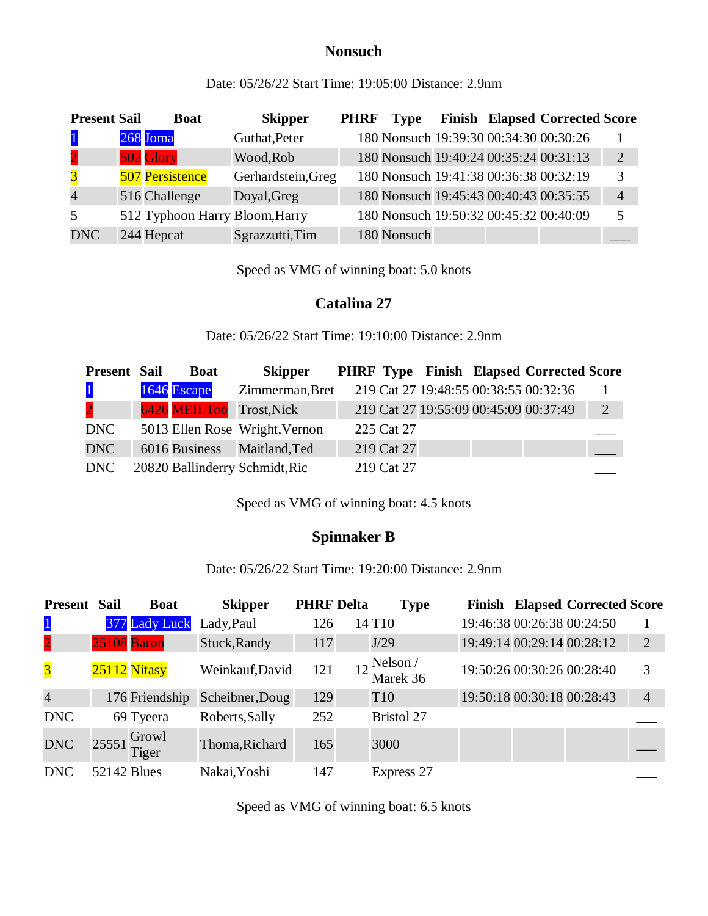#### **Nonsuch**

Date: 05/26/22 Start Time: 19:05:00 Distance: 2.9nm

| <b>Present Sail</b> | <b>Boat</b>                    | <b>Skipper</b>     | <b>PHRF</b> | <b>Type</b>                            |  | <b>Finish Elapsed Corrected Score</b>  |                |
|---------------------|--------------------------------|--------------------|-------------|----------------------------------------|--|----------------------------------------|----------------|
| $\mathbf{1}$        | 268 Joma                       | Guthat, Peter      |             | 180 Nonsuch 19:39:30 00:34:30 00:30:26 |  |                                        |                |
| $\overline{2}$      | 502 Glory                      | Wood, Rob          |             |                                        |  | 180 Nonsuch 19:40:24 00:35:24 00:31:13 | 2              |
| $\overline{3}$      | <b>507 Persistence</b>         | Gerhardstein, Greg |             | 180 Nonsuch 19:41:38 00:36:38 00:32:19 |  |                                        | 3              |
| $\overline{4}$      | 516 Challenge                  | Doyal, Greg        |             |                                        |  | 180 Nonsuch 19:45:43 00:40:43 00:35:55 | $\overline{4}$ |
| 5 <sup>5</sup>      | 512 Typhoon Harry Bloom, Harry |                    |             |                                        |  | 180 Nonsuch 19:50:32 00:45:32 00:40:09 |                |
| <b>DNC</b>          | 244 Hepcat                     | Sgrazzutti, Tim    |             | 180 Nonsuch                            |  |                                        |                |

Speed as VMG of winning boat: 5.0 knots

#### **Catalina 27**

Date: 05/26/22 Start Time: 19:10:00 Distance: 2.9nm

| <b>Present Sail</b> | <b>Boat</b> | <b>Skipper</b>                 |            |  | <b>PHRF Type Finish Elapsed Corrected Score</b> |   |
|---------------------|-------------|--------------------------------|------------|--|-------------------------------------------------|---|
| $\mathbf{1}$        | 1646 Escape | Zimmerman, Bret                |            |  | 219 Cat 27 19:48:55 00:38:55 00:32:36           |   |
| $\overline{2}$      |             | 6426 MEII Too Trost, Nick      |            |  | 219 Cat 27 19:55:09 00:45:09 00:37:49           | 2 |
| DNC                 |             | 5013 Ellen Rose Wright, Vernon | 225 Cat 27 |  |                                                 |   |
| DNC                 |             | 6016 Business Maitland, Ted    | 219 Cat 27 |  |                                                 |   |
| DNC                 |             | 20820 Ballinderry Schmidt, Ric | 219 Cat 27 |  |                                                 |   |

Speed as VMG of winning boat: 4.5 knots

#### **Spinnaker B**

Date: 05/26/22 Start Time: 19:20:00 Distance: 2.9nm

| <b>Present</b>          | Sail                        | <b>Boat</b>    | <b>Skipper</b>  | <b>PHRF</b> Delta | <b>Type</b>               |                            |                            | <b>Finish Elapsed Corrected Score</b> |                |
|-------------------------|-----------------------------|----------------|-----------------|-------------------|---------------------------|----------------------------|----------------------------|---------------------------------------|----------------|
| $\mathbf{1}$            |                             | 377 Lady Luck  | Lady, Paul      | 126               | 14 T <sub>10</sub>        |                            |                            | 19:46:38 00:26:38 00:24:50            |                |
| $\overline{2}$          | 25108 Baron                 |                | Stuck, Randy    | 117               | J/29                      |                            | 19:49:14 00:29:14 00:28:12 |                                       | $\overline{2}$ |
| $\overline{\mathbf{3}}$ | 25112 Nitasy                |                | Weinkauf, David | 121               | $12$ Nelson /<br>Marek 36 |                            |                            | 19:50:26 00:30:26 00:28:40            | 3              |
| $\overline{4}$          |                             | 176 Friendship | Scheibner, Doug | 129               | T <sub>10</sub>           | 19:50:18 00:30:18 00:28:43 |                            |                                       | $\overline{4}$ |
| <b>DNC</b>              | 69 Tyeera                   |                | Roberts, Sally  | 252               | <b>Bristol 27</b>         |                            |                            |                                       |                |
| <b>DNC</b>              | $25551 \frac{Growl}{Tiger}$ |                | Thoma, Richard  | 165               | 3000                      |                            |                            |                                       |                |
| <b>DNC</b>              | <b>52142 Blues</b>          |                | Nakai, Yoshi    | 147               | Express 27                |                            |                            |                                       |                |

Speed as VMG of winning boat: 6.5 knots